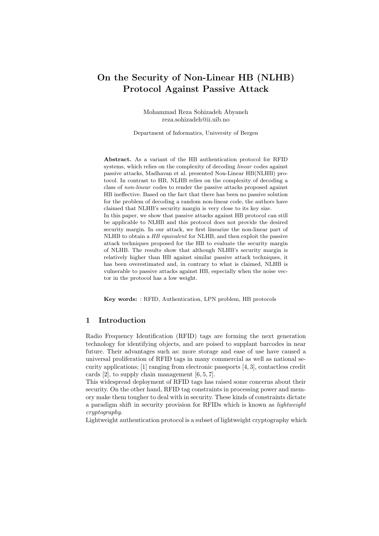# On the Security of Non-Linear HB (NLHB) Protocol Against Passive Attack

Mohammad Reza Sohizadeh Abyaneh reza.sohizadeh@ii.uib.no

Department of Informatics, University of Bergen

Abstract. As a variant of the HB authentication protocol for RFID systems, which relies on the complexity of decoding linear codes against passive attacks, Madhavan et al. presented Non-Linear HB(NLHB) protocol. In contrast to HB, NLHB relies on the complexity of decoding a class of non-linear codes to render the passive attacks proposed against HB ineffective. Based on the fact that there has been no passive solution for the problem of decoding a random non-linear code, the authors have claimed that NLHB's security margin is very close to its key size. In this paper, we show that passive attacks against HB protocol can still be applicable to NLHB and this protocol does not provide the desired security margin. In our attack, we first linearize the non-linear part of NLHB to obtain a HB equivalent for NLHB, and then exploit the passive attack techniques proposed for the HB to evaluate the security margin of NLHB. The results show that although NLHB's security margin is relatively higher than HB against similar passive attack techniques, it has been overestimated and, in contrary to what is claimed, NLHB is vulnerable to passive attacks against HB, especially when the noise vector in the protocol has a low weight.

Key words: : RFID, Authentication, LPN problem, HB protocols

# 1 Introduction

Radio Frequency Identification (RFID) tags are forming the next generation technology for identifying objects, and are poised to supplant barcodes in near future. Their advantages such as: more storage and ease of use have caused a universal proliferation of RFID tags in many commercial as well as national security applications; [1] ranging from electronic passports [4, 3], contactless credit cards  $[2]$ , to supply chain management  $[6, 5, 7]$ .

This widespread deployment of RFID tags has raised some concerns about their security. On the other hand, RFID tag constraints in processing power and memory make them tougher to deal with in security. These kinds of constraints dictate a paradigm shift in security provision for RFIDs which is known as lightweight cryptography.

Lightweight authentication protocol is a subset of lightweight cryptography which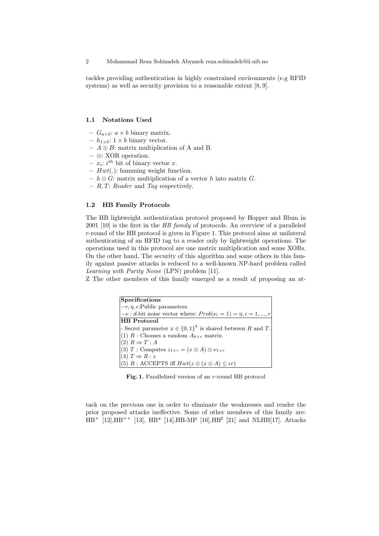tackles providing authentication in highly constrained environments (e.g RFID systems) as well as security provision to a reasonable extent [8, 9].

#### 1.1 Notations Used

- $G_{a\times b}$ :  $a \times b$  binary matrix.
- $h_{1\times b}: 1 \times b$  binary vector.
- $A \otimes B$ : matrix multiplication of A and B.
- ⊕: XOR operation.
- $x_i$ : *i*<sup>th</sup> bit of binary vector *x*.
- $Hwt(.)$ : hamming weight function.
- $h \otimes G$ : matrix multiplication of a vector h into matrix G.
- $R, T: Reader$  and Tag respectively.

### 1.2 HB Family Protocols

The HB lightweight authentication protocol proposed by Hopper and Blum in 2001 [10] is the first in the HB family of protocols. An overview of a paralleled r-round of the HB protocol is given in Figure 1. This protocol aims at unilateral authenticating of an RFID tag to a reader only by lightweight operations. The operations used in this protocol are one matrix multiplication and some XORs. On the other hand, The security of this algorithm and some others in this family against passive attacks is reduced to a well-known NP-hard problem called Learning with Parity Noise (LPN) problem [11].

Z The other members of this family emerged as a result of proposing an at-

| $\left  \text{Specifications}\right $                                     |
|---------------------------------------------------------------------------|
| $-r, \eta, \epsilon$ : Public parameters.                                 |
| $ -\nu : d$ -bit noise vector where: $Prob(\nu_i = 1) = \eta, i = 1, , r$ |
| <b>HB</b> Protocol                                                        |
| - Secret parameter $x \in \{0,1\}^k$ is shared between R and T.           |
| (1) R : Chooses a random $A_{k\times r}$ matrix.                          |
| $ (2) R \Rightarrow T : A$                                                |
| (3) T: Computes $z_{1\times r} = (x \otimes A) \oplus \nu_{1\times r}$    |
| $(4) T \Rightarrow R: z$                                                  |
| (5) R : ACCEPTS iff $Hwt(z \oplus (x \otimes A) \leq \epsilon r)$         |

Fig. 1. Parallelized version of an r-round HB protocol

tack on the previous one in order to eliminate the weaknesses and render the prior proposed attacks ineffective. Some of other members of this family are:  $HB^+$  [12], $HB^{++}$  [13],  $HB^*$  [14], $HB-MP$  [16], $HB^{\sharp}$  [21] and NLHB[17]. Attacks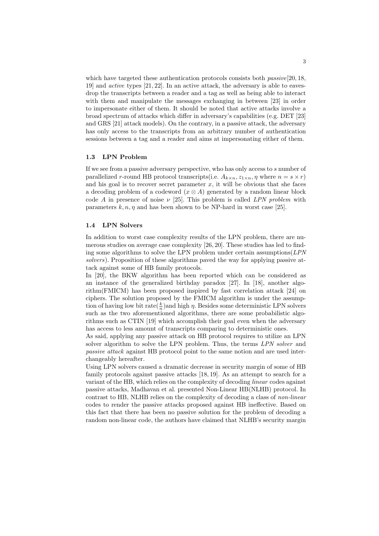which have targeted these authentication protocols consists both  $passive[20, 18]$ , 19] and active types [21, 22]. In an active attack, the adversary is able to eavesdrop the transcripts between a reader and a tag as well as being able to interact with them and manipulate the messages exchanging in between [23] in order to impersonate either of them. It should be noted that active attacks involve a broad spectrum of attacks which differ in adversary's capabilities (e.g. DET [23] and GRS [21] attack models). On the contrary, in a passive attack, the adversary has only access to the transcripts from an arbitrary number of authentication sessions between a tag and a reader and aims at impersonating either of them.

### 1.3 LPN Problem

If we see from a passive adversary perspective, who has only access to s number of parallelized r-round HB protocol transcripts(i.e.  $A_{k \times n}$ ,  $z_{1 \times n}$ ,  $\eta$  where  $n = s \times r$ ) and his goal is to recover secret parameter  $x$ , it will be obvious that she faces a decoding problem of a codeword  $(x \otimes A)$  generated by a random linear block code A in presence of noise  $\nu$  [25]. This problem is called LPN problem with parameters  $k, n, n$  and has been shown to be NP-hard in worst case [25].

### 1.4 LPN Solvers

In addition to worst case complexity results of the LPN problem, there are numerous studies on average case complexity [26, 20]. These studies has led to finding some algorithms to solve the LPN problem under certain assumptions(LPN solvers). Proposition of these algorithms paved the way for applying passive attack against some of HB family protocols.

In [20], the BKW algorithm has been reported which can be considered as an instance of the generalized birthday paradox [27]. In [18], another algorithm(FMICM) has been proposed inspired by fast correlation attack [24] on ciphers. The solution proposed by the FMICM algorithm is under the assumption of having low bit  $\text{rate}(\frac{k}{n})$ and high  $\eta$ . Besides some deterministic LPN solvers such as the two aforementioned algorithms, there are some probabilistic algorithms such as CTIN [19] which accomplish their goal even when the adversary has access to less amount of transcripts comparing to deterministic ones.

As said, applying any passive attack on HB protocol requires to utilize an LPN solver algorithm to solve the LPN problem. Thus, the terms LPN solver and passive attack against HB protocol point to the same notion and are used interchangeably hereafter.

Using LPN solvers caused a dramatic decrease in security margin of some of HB family protocols against passive attacks [18, 19]. As an attempt to search for a variant of the HB, which relies on the complexity of decoding linear codes against passive attacks, Madhavan et al. presented Non-Linear HB(NLHB) protocol. In contrast to HB, NLHB relies on the complexity of decoding a class of non-linear codes to render the passive attacks proposed against HB ineffective. Based on this fact that there has been no passive solution for the problem of decoding a random non-linear code, the authors have claimed that NLHB's security margin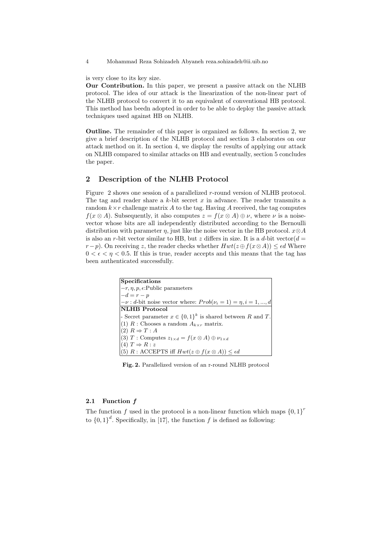4 Mohammad Reza Sohizadeh Abyaneh reza.sohizadeh@ii.uib.no

is very close to its key size.

Our Contribution. In this paper, we present a passive attack on the NLHB protocol. The idea of our attack is the linearization of the non-linear part of the NLHB protocol to convert it to an equivalent of conventional HB protocol. This method has beedn adopted in order to be able to deploy the passive attack techniques used against HB on NLHB.

Outline. The remainder of this paper is organized as follows. In section 2, we give a brief description of the NLHB protocol and section 3 elaborates on our attack method on it. In section 4, we display the results of applying our attack on NLHB compared to similar attacks on HB and eventually, section 5 concludes the paper.

# 2 Description of the NLHB Protocol

Figure 2 shows one session of a parallelized r-round version of NLHB protocol. The tag and reader share a k-bit secret x in advance. The reader transmits a random  $k \times r$  challenge matrix A to the tag. Having A received, the tag computes  $f(x \otimes A)$ . Subsequently, it also computes  $z = f(x \otimes A) \oplus \nu$ , where  $\nu$  is a noisevector whose bits are all independently distributed according to the Bernoulli distribution with parameter  $\eta$ , just like the noise vector in the HB protocol.  $x \otimes A$ is also an r-bit vector similar to HB, but z differs in size. It is a d-bit vector  $(d =$  $r-p$ ). On receiving z, the reader checks whether  $Hwt(z \oplus f(x \otimes A)) \leq \epsilon d$  Where  $0 < \epsilon < \eta < 0.5$ . If this is true, reader accepts and this means that the tag has been authenticated successfully.

| <b>Specifications</b>                                                   |
|-------------------------------------------------------------------------|
| $-r, \eta, p, \epsilon$ : Public parameters                             |
| $-d = r - p$                                                            |
| $-\nu$ : d-bit noise vector where: $Prob(\nu_i = 1) = \eta, i = 1, , d$ |
| <b>NLHB</b> Protocol                                                    |
| - Secret parameter $x \in \{0,1\}^k$ is shared between R and T.         |
| $ (1) R$ : Chooses a random $A_{k \times r}$ matrix.                    |
| $ (2) R \Rightarrow T : A$                                              |
| (3) T: Computes $z_{1\times d} = f(x \otimes A) \oplus \nu_{1\times d}$ |
| $ (4) T \Rightarrow R: z$                                               |
| (5) R : ACCEPTS iff $Hwt(z \oplus f(x \otimes A)) \leq \epsilon d$      |

Fig. 2. Parallelized version of an r-round NLHB protocol

### 2.1 Function f

The function f used in the protocol is a non-linear function which maps  $\{0,1\}^r$ to  ${0,1}^d$ . Specifically, in [17], the function f is defined as following: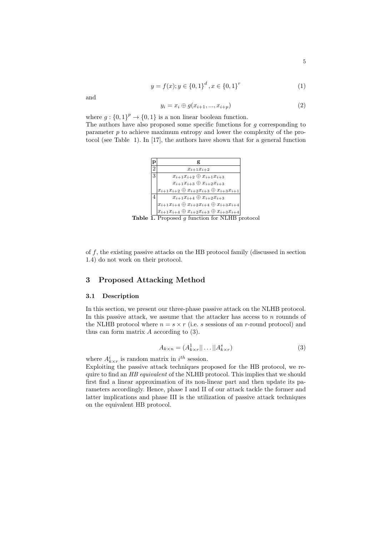$$
y = f(x); y \in \{0, 1\}^d, x \in \{0, 1\}^r
$$
 (1)

and

$$
y_i = x_i \oplus g(x_{i+1}, \dots, x_{i+p})
$$
\n
$$
(2)
$$

where  $g: \{0,1\}^p \to \{0,1\}$  is a non linear boolean function.

The authors have also proposed some specific functions for  $g$  corresponding to parameter p to achieve maximum entropy and lower the complexity of the protocol (see Table 1). In [17], the authors have shown that for a general function



**Table 1.** Proposed  $g$  function for NLHB protocol

of  $f$ , the existing passive attacks on the HB protocol family (discussed in section 1.4) do not work on their protocol.

# 3 Proposed Attacking Method

#### 3.1 Description

In this section, we present our three-phase passive attack on the NLHB protocol. In this passive attack, we assume that the attacker has access to  $n$  rounnds of the NLHB protocol where  $n = s \times r$  (i.e. s sessions of an r-round protocol) and thus can form matrix A according to (3).

$$
A_{k \times n} = (A_{k \times r}^1 || \dots || A_{k \times r}^s)
$$
\n<sup>(3)</sup>

where  $A^i_{k \times r}$  is random matrix in  $i^{th}$  session.

Exploiting the passive attack techniques proposed for the HB protocol, we require to find an HB equivalent of the NLHB protocol. This implies that we should first find a linear approximation of its non-linear part and then update its parameters accordingly. Hence, phase I and II of our attack tackle the former and latter implications and phase III is the utilization of passive attack techniques on the equivalent HB protocol.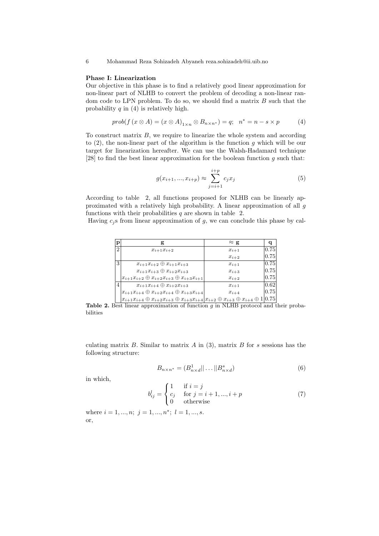### Phase I: Linearization

Our objective in this phase is to find a relatively good linear approximation for non-linear part of NLHB to convert the problem of decoding a non-linear random code to LPN problem. To do so, we should find a matrix  $B$  such that the probability q in  $(4)$  is relatively high.

$$
prob(f(x \otimes A) = (x \otimes A)_{1 \times n} \otimes B_{n \times n^*}) = q; \quad n^* = n - s \times p \tag{4}
$$

To construct matrix  $B$ , we require to linearize the whole system and according to  $(2)$ , the non-linear part of the algorithm is the function g which will be our target for linearization hereafter. We can use the Walsh-Hadamard technique [28] to find the best linear approximation for the boolean function  $g$  such that:

$$
g(x_{i+1},...,x_{i+p}) \approx \sum_{j=i+1}^{i+p} c_j x_j \tag{5}
$$

According to table 2, all functions proposed for NLHB can be linearly approximated with a relatively high probability. A linear approximation of all g functions with their probabilities  $q$  are shown in table 2.

Having  $c_i$  s from linear approximation of g, we can conclude this phase by cal-

| $\mathbf p$    |                                                                                                                                                                                                                   | $\approx$ g |                       |
|----------------|-------------------------------------------------------------------------------------------------------------------------------------------------------------------------------------------------------------------|-------------|-----------------------|
| $\overline{2}$ | $x_{i+1}x_{i+2}$                                                                                                                                                                                                  | $x_{i+1}$   | 0.75                  |
|                |                                                                                                                                                                                                                   | $x_{i+2}$   | $\left  0.75 \right $ |
| 3              | $x_{i+1}x_{i+2} \oplus x_{i+1}x_{i+3}$                                                                                                                                                                            | $x_{i+1}$   | 0.75                  |
|                | $x_{i+1}x_{i+3} \oplus x_{i+2}x_{i+3}$                                                                                                                                                                            | $x_{i+3}$   | 0.75                  |
|                | $x_{i+1}x_{i+2} \oplus x_{i+2}x_{i+3} \oplus x_{i+3}x_{i+1}$                                                                                                                                                      | $x_{i+2}$   | 0.75                  |
| 4              | $x_{i+1}x_{i+4} \oplus x_{i+2}x_{i+3}$                                                                                                                                                                            | $x_{i+1}$   | 0.62                  |
|                | $x_{i+1}x_{i+4} \oplus x_{i+2}x_{i+4} \oplus x_{i+3}x_{i+4}$                                                                                                                                                      | $x_{i+4}$   | 0.75                  |
|                | $ x_{i+1}x_{i+4}\oplus x_{i+2}x_{i+3}\oplus x_{i+3}x_{i+4} x_{i+2}\oplus x_{i+3}\oplus x_{i+4}\oplus x_{i+5}\oplus x_{i+6}\oplus x_{i+7}\oplus x_{i+8}\oplus x_{i+8}\oplus x_{i+9}\oplus x_{i+10}\oplus x_{i+11}$ |             | 1 0.75                |

Table 2. Best linear approximation of function q in NLHB protocol and their probabilities

culating matrix  $B$ . Similar to matrix  $A$  in (3), matrix  $B$  for  $s$  sessions has the following structure:

$$
B_{n \times n^*} = (B_{n \times d}^1 || \dots || B_{n \times d}^s)
$$
 (6)

in which,

$$
b_{ij}^l = \begin{cases} 1 & \text{if } i = j \\ c_j & \text{for } j = i+1, ..., i+p \\ 0 & \text{otherwise} \end{cases}
$$
 (7)

where  $i = 1, ..., n; j = 1, ..., n^*; l = 1, ..., s$ . or,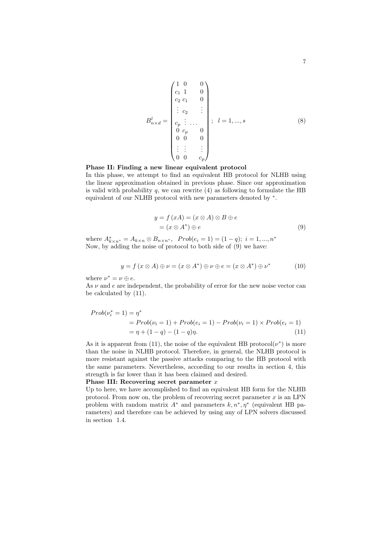$$
B_{n \times d}^{l} = \begin{pmatrix} 1 & 0 & 0 \\ c_1 & 1 & 0 \\ c_2 & c_1 & 0 \\ \vdots & \vdots & & \vdots \\ c_p & \vdots & \dots & 0 \\ 0 & c_p & 0 & 0 \\ 0 & 0 & 0 & 0 \\ \vdots & \vdots & & \vdots \\ 0 & 0 & c_p \end{pmatrix}; \quad l = 1, ..., s \quad (8)
$$

# Phase II: Finding a new linear equivalent protocol

In this phase, we attempt to find an equivalent HB protocol for NLHB using the linear approximation obtained in previous phase. Since our approximation is valid with probability  $q$ , we can rewrite  $(4)$  as following to formulate the HB equivalent of our NLHB protocol with new parameters denoted by <sup>∗</sup> .

$$
y = f(xA) = (x \otimes A) \otimes B \oplus e
$$
  
=  $(x \otimes A^*) \oplus e$  (9)

where  $A^*_{k \times n^*} = A_{k \times n} \otimes B_{n \times n^*}$ ,  $Prob(e_i = 1) = (1 - q); i = 1, ..., n^*$ Now, by adding the noise of protocol to both side of (9) we have:

$$
y = f(x \otimes A) \oplus \nu = (x \otimes A^*) \oplus \nu \oplus e = (x \otimes A^*) \oplus \nu^*
$$
 (10)

where  $\nu^* = \nu \oplus e$ .

As  $\nu$  and e are independent, the probability of error for the new noise vector can be calculated by (11).

$$
Prob(\nu_i^* = 1) = \eta^* = Prob(\nu_i = 1) + Prob(e_i = 1) - Prob(\nu_i = 1) \times Prob(e_i = 1)
$$
  
=  $\eta + (1 - q) - (1 - q)\eta.$  (11)

As it is apparent from (11), the noise of the equivalent HB protocol( $\nu^*$ ) is more than the noise in NLHB protocol. Therefore, in general, the NLHB protocol is more resistant against the passive attacks comparing to the HB protocol with the same parameters. Nevertheless, according to our results in section 4, this strength is far lower than it has been claimed and desired.

#### Phase III: Recovering secret parameter  $x$

Up to here, we have accomplished to find an equivalent HB form for the NLHB protocol. From now on, the problem of recovering secret parameter  $x$  is an LPN problem with random matrix  $A^*$  and parameters  $k, n^*, \eta^*$  (equivalent HB parameters) and therefore can be achieved by using any of LPN solvers discussed in section 1.4.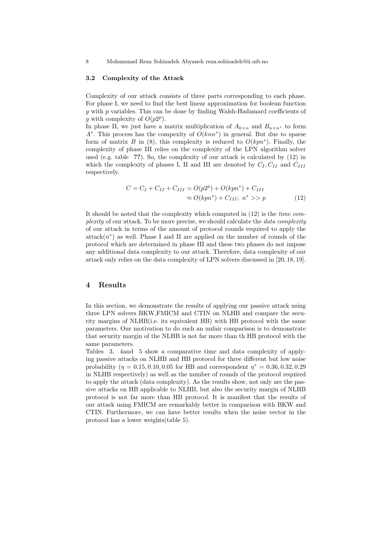8 Mohammad Reza Sohizadeh Abyaneh reza.sohizadeh@ii.uib.no

#### 3.2 Complexity of the Attack

Complexity of our attack consists of three parts corresponding to each phase. For phase I, we need to find the best linear approximation for boolean function g with p variables. This can be done by finding Walsh-Hadamard coefficients of g with complexity of  $O(p2^p)$ .

In phase II, we just have a matrix multiplication of  $A_{k\times n}$  and  $B_{n\times n^*}$  to form  $A^*$ . This process has the compexity of  $O(knn^*)$  in general. But due to sparse form of matrix B in (8), this complexity is reduced to  $O(kpn^*)$ . Finally, the complexity of phase III relies on the complexity of the LPN algorithm solver used (e.g. table ??). So, the complexity of our attack is calculated by (12) in which the complexity of phases I, II and III are denoted by  $C_I, C_{II}$  and  $C_{III}$ respectively.

$$
C = C_I + C_{II} + C_{III} = O(p2^p) + O(kpn^*) + C_{III}
$$
  
\n
$$
\approx O(kpn^*) + C_{III}; \ n^* > p \tag{12}
$$

It should be noted that the complexity which computed in (12) is the time complexity of our attack. To be more precise, we should calculate the data complexity of our attack in terms of the amount of protocol rounds required to apply the  $\text{attack}(n^*)$  as well. Phase I and II are applied on the number of rounds of the protocol which are determined in phase III and these two phases do not impose any additional data complexity to our attack. Therefore, data complexity of our attack only relies on the data complexity of LPN solvers discussed in [20, 18, 19].

# 4 Results

In this section, we demonstrate the results of applying our passive attack using three LPN solvers BKW,FMICM and CTIN on NLHB and compare the security margins of NLHB(i.e. its equivalent HB) with HB protocol with the same parameters. Our motivation to do such an unfair comparison is to demonstrate that security margin of the NLHB is not far more than th HB protocol with the same parameters.

Tables 3, 4and 5 show a comparative time and data complexity of applying passive attacks on NLHB and HB protocol for three different but low noise probability ( $\eta = 0.15, 0.10, 0.05$  for HB and correspondent  $\eta^* = 0.36, 0.32, 0.29$ in NLHB respectively) as well as the number of rounds of the protocol required to apply the attack (data complexity). As the results show, not only are the passive attacks on HB applicable to NLHB, but also the security margin of NLHB protocol is not far more than HB protocol. It is manifest that the results of our attack using FMICM are remarkably better in comparison with BKW and CTIN. Furthermore, we can have better results when the noise vector in the protocol has a lower weights(table 5).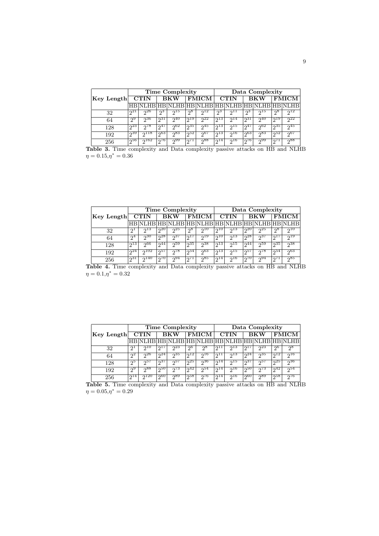|            |                       |              |                      | <b>Time Complexity</b> |                  |          | Data Complexity |            |              |                              |                     |             |
|------------|-----------------------|--------------|----------------------|------------------------|------------------|----------|-----------------|------------|--------------|------------------------------|---------------------|-------------|
| Key Length | <b>CTIN</b>           |              | $\overline{\rm BKW}$ |                        | <b>FMICM</b>     |          | <b>CTIN</b>     |            | <b>BKW</b>   |                              | <b>FMICM</b>        |             |
|            |                       |              |                      | NLHR HR                |                  |          |                 |            |              | NLHB HB NLHB HB NLHB HB NLHB |                     |             |
| 32         | $\Omega$ <sup>1</sup> | $\sqrt{26}$  | ച                    | 215                    | $\mathsf{D}8$    | $2^{12}$ | ეპ              | $2^{11}$   | റ3           | 015                          | ე8                  | $\Omega$    |
| 64         | $\Omega^9$            | $\sqrt{36}$  | $\overline{231}$     | $\mathcal{D}^{40}$     | $\overline{219}$ | 22       | $\sqrt{13}$     | $2^{14}$   | $\sqrt{231}$ | 240                          | $\overline{2^{19}}$ | $\sqrt{22}$ |
| 128        | $\overline{23}$       | ഹ78          | 047                  | $\sqrt{62}$            | $\sqrt{35}$      | $2^{45}$ | $\sqrt{13}$     | <u>ງ15</u> | 247          | 002                          | 235                 | 245         |
| 192        | 239                   | $2^{118}$    | ി $\sigma$ 63.       | ე83                    | ി $2^5$          | 2007     | ാ¤ു             | $2^{16}$   | 2003         | 283                          | $10^{52}$           | $2^{67}$    |
| 256        | $\sqrt{56}$           | $\sqrt{162}$ | $\sqrt{576}$         | $\sqrt{99}$            | 271              | $2^{88}$ | $2^{14}$        | 216        | 276          | 299                          | 1071                | 288         |

Table 3. Time complexity and Data complexity passive attacks on HB and NLHB  $\eta = 0.15, \eta^* = 0.36$ 

|            |     | <b>Time Complexity</b> |                         |                        |                 |              |                                              |                     | Data Complexity |                        |       |              |                  |  |
|------------|-----|------------------------|-------------------------|------------------------|-----------------|--------------|----------------------------------------------|---------------------|-----------------|------------------------|-------|--------------|------------------|--|
| Key Length |     | <b>CTIN</b>            |                         | <b>BKW</b>             |                 | <b>FMICM</b> |                                              | <b>CTIN</b>         |                 | <b>BKW</b>             |       | <b>FMICM</b> |                  |  |
|            |     |                        |                         |                        |                 |              | NLHB HB NLHB HB NLHB HB NLHB HB NLHB HB NLHB |                     |                 |                        |       |              |                  |  |
|            | 32  | ച                      | $\sqrt{13}$             | $\Omega$ <sup>20</sup> | $\overline{25}$ | $2^8$        | $\Omega$ <sup>10</sup>                       | 210                 | 513             | $\overline{20}$        | 25    | ე8           | 210              |  |
|            | 64  | $\Omega$ <sup>4</sup>  | $2^{30}$                | ി 28                   | ე37             | 217          | $2^{19}$                                     | $2^{10}$            | $\gamma_{13}$   | $n^{28}$               | ე37   | $2^{17}$     | $2^{19}$         |  |
|            | 128 | $\overline{213}$       | ი66                     | ່າ $44$                | 559             | 235          | $2^{38}$                                     | $\overline{2^{13}}$ | 215             | $\Omega$ <sup>44</sup> | - 259 | 225          | 238              |  |
|            | 192 | $\sqrt{24}$            | $\Omega$ <sup>102</sup> | ച്ച 57                 | 578             | 254          | $\overline{200}$                             | $\overline{2^{13}}$ | 215             | $\overline{257}$       | 0.78  | 254          | $\overline{200}$ |  |
|            | 256 | ი31                    | 0.140                   | 0.70                   | 294             | 271          | ე85                                          | $2^{14}$            | 216             | 0.70                   | 294   | 271          | ე85              |  |

Table 4. Time complexity and Data complexity passive attacks on HB and NLHB  $\eta = 0.1, \eta^* = 0.32$ 

|            |             |                        |                        | <b>Time Complexity</b> |              |                                              | Data Complexity |                        |                        |                  |                  |                        |
|------------|-------------|------------------------|------------------------|------------------------|--------------|----------------------------------------------|-----------------|------------------------|------------------------|------------------|------------------|------------------------|
| Key Length | <b>CTIN</b> |                        | <b>BKW</b>             |                        | <b>FMICM</b> |                                              | <b>CTIN</b>     |                        | <b>BKW</b>             |                  | <b>FMICM</b>     |                        |
|            |             |                        |                        |                        |              | NLHB HB NLHB HB NLHB HB NLHB HB NLHB HB NLHB |                 |                        |                        |                  |                  |                        |
| 32         | ച           | $\Omega$ <sup>10</sup> | $\lceil \cdot \rceil$  | $\sqrt{23}$            | $2^6$        | $2^8$                                        | 211             | $\overline{213}$       | $\Omega$ <sup>17</sup> | $\sqrt{23}$      | 2 <sup>6</sup>   | $2^8$                  |
| 64         | $\sqrt{2}$  | $\sqrt{26}$            | $\Omega$ <sup>24</sup> | $\overline{235}$       | $\sqrt{12}$  | $\Omega$ <sup>16</sup>                       | 211             | $\sqrt{13}$            | $\sqrt{24}$            | 535              | 212              | $\Omega$ <sup>16</sup> |
| 128        | ചാ          | ი57                    | ი37                    | ე57                    | 25           | ი36                                          | $2^{14}$        | 015                    | -937                   | ചാല              | 25               | 236                    |
| 192        | $\Omega$    | $\neg$ 88              | $\sqrt{250}$           | $\sqrt{73}$            | $\sqrt{242}$ | 254                                          | $2^{14}$        | $\Omega$ <sup>16</sup> | 250                    | $\sqrt{73}$      | $\sqrt{2^4}$     | 254                    |
| 256        | 214         | $\sqrt{120}$           | $\overline{00}$        | $\overline{289}$       | 258          | $\overline{276}$                             | 214             | $\sqrt{16}$            | $\overline{200}$       | $\overline{289}$ | $\overline{258}$ | $\overline{276}$       |

Table 5. Time complexity and Data complexity passive attacks on HB and NLHB  $\eta = 0.05, \eta^* = 0.29$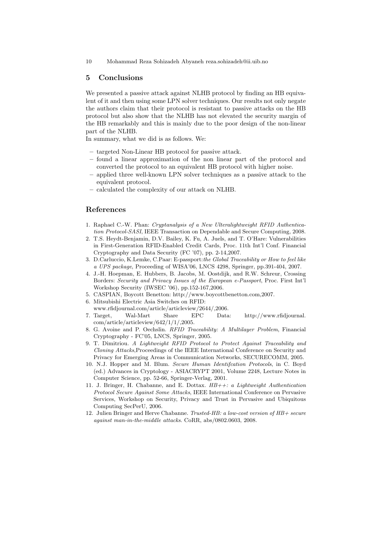10 Mohammad Reza Sohizadeh Abyaneh reza.sohizadeh@ii.uib.no

### 5 Conclusions

We presented a passive attack against NLHB protocol by finding an HB equivalent of it and then using some LPN solver techniques. Our results not only negate the authors claim that their protocol is resistant to passive attacks on the HB protocol but also show that the NLHB has not elevated the security margin of the HB remarkably and this is mainly due to the poor design of the non-linear part of the NLHB.

In summary, what we did is as follows. We:

- targeted Non-Linear HB protocol for passive attack.
- found a linear approximation of the non linear part of the protocol and converted the protocol to an equivalent HB protocol with higher noise.
- applied three well-known LPN solver techniques as a passive attack to the equivalent protocol.
- calculated the complexity of our attack on NLHB.

## References

- 1. Raphael C.-W. Phan: Cryptanalysis of a New Ulteralightweight RFID Authentication Protocol-SASI, IEEE Transaction on Dependable and Secure Computing, 2008.
- 2. T.S. Heydt-Benjamin, D.V. Bailey, K. Fu, A. Juels, and T. O'Hare: Vulnerabilities in First-Generation RFID-Enabled Credit Cards, Proc. 11th Int'l Conf. Financial Cryptography and Data Security (FC '07), pp. 2-14,2007.
- 3. D.Carluccio, K.Lemke, C.Paar: E-passport:the Global Traceability or How to feel like a UPS package, Proceeding of WISA'06, LNCS 4298, Springer, pp.391-404, 2007.
- 4. J.-H. Hoepman, E. Hubbers, B. Jacobs, M. Oostdijk, and R.W. Schreur, Crossing Borders: Security and Privacy Issues of the European e-Passport, Proc. First Int'l Workshop Security (IWSEC '06), pp.152-167,2006.
- 5. CASPIAN, Boycott Benetton: http://www.boycottbenetton.com,2007.
- 6. Mitsubishi Electric Asia Switches on RFID: www.rfidjournal.com/article/articleview/2644/,2006.
- 7. Target, Wal-Mart Share EPC Data: http://www.rfidjournal. com/article/articleview/642/1/1/,2005.
- 8. G. Avoine and P. Oechslin. RFID Traceability: A Multilayer Problem, Financial Cryptography - FC'05, LNCS, Springer, 2005.
- 9. T. Dimitriou. A Lightweight RFID Protocol to Protect Against Traceability and Cloning Attacks,Proceedings of the IEEE International Conference on Security and Privacy for Emerging Areas in Communication Networks, SECURECOMM, 2005.
- 10. N.J. Hopper and M. Blum. Secure Human Identifcation Protocols, in C. Boyd (ed.) Advances in Cryptology - ASIACRYPT 2001, Volume 2248, Lecture Notes in Computer Science, pp. 52-66, Springer-Verlag, 2001.
- 11. J. Bringer, H. Chabanne, and E. Dottax. HB++: a Lightweight Authentication Protocol Secure Against Some Attacks, IEEE International Conference on Pervasive Services, Workshop on Security, Privacy and Trust in Pervasive and Ubiquitous Computing SecPerU, 2006.
- 12. Julien Bringer and Herve Chabanne. Trusted-HB: a low-cost version of HB+ secure against man-in-the-middle attacks. CoRR, abs/0802.0603, 2008.